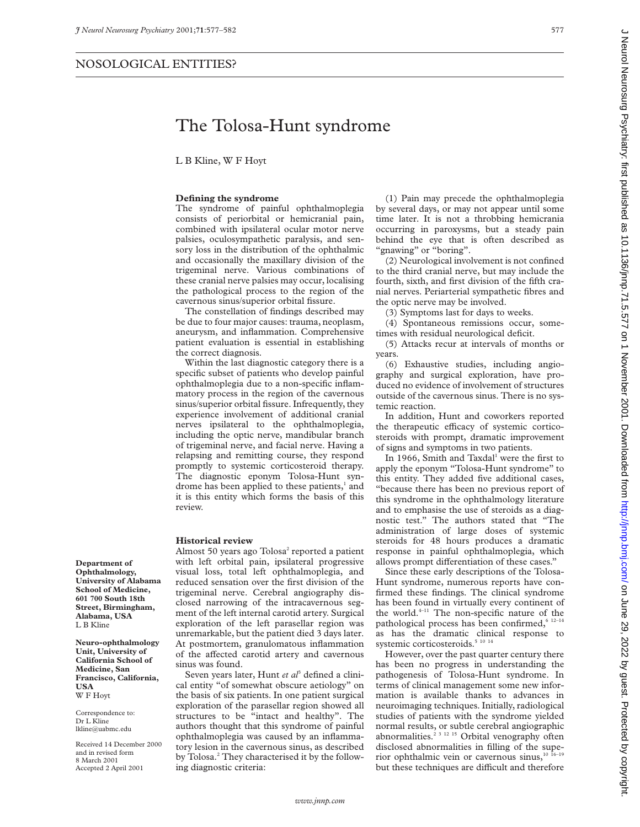## The Tolosa-Hunt syndrome

L B Kline, W F Hoyt

#### **Defining the syndrome**

The syndrome of painful ophthalmoplegia consists of periorbital or hemicranial pain, combined with ipsilateral ocular motor nerve palsies, oculosympathetic paralysis, and sensory loss in the distribution of the ophthalmic and occasionally the maxillary division of the trigeminal nerve. Various combinations of these cranial nerve palsies may occur, localising the pathological process to the region of the cavernous sinus/superior orbital fissure.

The constellation of findings described may be due to four major causes: trauma, neoplasm, aneurysm, and inflammation. Comprehensive patient evaluation is essential in establishing the correct diagnosis.

Within the last diagnostic category there is a specific subset of patients who develop painful ophthalmoplegia due to a non-specific inflammatory process in the region of the cavernous sinus/superior orbital fissure. Infrequently, they experience involvement of additional cranial nerves ipsilateral to the ophthalmoplegia, including the optic nerve, mandibular branch of trigeminal nerve, and facial nerve. Having a relapsing and remitting course, they respond promptly to systemic corticosteroid therapy. The diagnostic eponym Tolosa-Hunt syndrome has been applied to these patients,<sup>1</sup> and it is this entity which forms the basis of this review.

#### **Historical review**

Almost 50 years ago Tolosa<sup>2</sup> reported a patient with left orbital pain, ipsilateral progressive visual loss, total left ophthalmoplegia, and reduced sensation over the first division of the trigeminal nerve. Cerebral angiography disclosed narrowing of the intracavernous segment of the left internal carotid artery. Surgical exploration of the left parasellar region was unremarkable, but the patient died 3 days later. At postmortem, granulomatous inflammation of the affected carotid artery and cavernous sinus was found.

Seven years later, Hunt *et al*<sup>3</sup> defined a clinical entity "of somewhat obscure aetiology" on the basis of six patients. In one patient surgical exploration of the parasellar region showed all structures to be "intact and healthy". The authors thought that this syndrome of painful ophthalmoplegia was caused by an inflammatory lesion in the cavernous sinus, as described by Tolosa.<sup>2</sup> They characterised it by the following diagnostic criteria:

(1) Pain may precede the ophthalmoplegia by several days, or may not appear until some time later. It is not a throbbing hemicrania occurring in paroxysms, but a steady pain behind the eye that is often described as "gnawing" or "boring".

(2) Neurological involvement is not confined to the third cranial nerve, but may include the fourth, sixth, and first division of the fifth cranial nerves. Periarterial sympathetic fibres and the optic nerve may be involved.

(3) Symptoms last for days to weeks.

(4) Spontaneous remissions occur, sometimes with residual neurological deficit.

(5) Attacks recur at intervals of months or years.

(6) Exhaustive studies, including angiography and surgical exploration, have produced no evidence of involvement of structures outside of the cavernous sinus. There is no systemic reaction.

In addition, Hunt and coworkers reported the therapeutic efficacy of systemic corticosteroids with prompt, dramatic improvement of signs and symptoms in two patients.

In 1966, Smith and Taxdal<sup>1</sup> were the first to apply the eponym "Tolosa-Hunt syndrome" to this entity. They added five additional cases, "because there has been no previous report of this syndrome in the ophthalmology literature and to emphasise the use of steroids as a diagnostic test." The authors stated that "The administration of large doses of systemic steroids for 48 hours produces a dramatic response in painful ophthalmoplegia, which allows prompt differentiation of these cases."

Since these early descriptions of the Tolosa-Hunt syndrome, numerous reports have confirmed these findings. The clinical syndrome has been found in virtually every continent of the world.<sup>4-11</sup> The non-specific nature of the pathological process has been confirmed, $6^{12-14}$ as has the dramatic clinical response to systemic corticosteroids.<sup>5 10 14</sup>

However, over the past quarter century there has been no progress in understanding the pathogenesis of Tolosa-Hunt syndrome. In terms of clinical management some new information is available thanks to advances in neuroimaging techniques. Initially, radiological studies of patients with the syndrome yielded normal results, or subtle cerebral angiographic abnormalities.<sup>2 3 12 15</sup> Orbital venography often disclosed abnormalities in filling of the superior ophthalmic vein or cavernous sinus, $10^{16-19}$ but these techniques are difficult and therefore

**University of Alabama Neuro-ophthalmology**

**Unit, University of California School of Medicine, San Francisco, California, USA** W F Hoyt

Correspondence to: Dr L Kline lkline@uabmc.edu

**Department of Ophthalmology,**

**School of Medicine, 601 700 South 18th Street, Birmingham, Alabama, USA** L B Kline

Received 14 December 2000 and in revised form 8 March 2001 Accepted 2 April 2001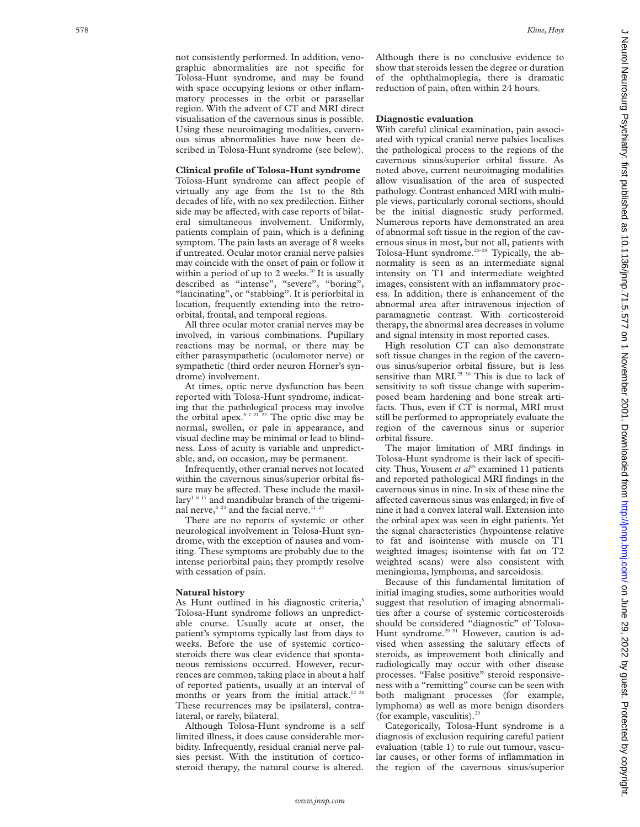not consistently performed. In addition, venographic abnormalities are not specific for Tolosa-Hunt syndrome, and may be found with space occupying lesions or other inflammatory processes in the orbit or parasellar region. With the advent of CT and MRI direct visualisation of the cavernous sinus is possible. Using these neuroimaging modalities, cavernous sinus abnormalities have now been described in Tolosa-Hunt syndrome (see below).

#### **Clinical profile of Tolosa-Hunt syndrome**

Tolosa-Hunt syndrome can affect people of virtually any age from the 1st to the 8th decades of life, with no sex predilection. Either side may be affected, with case reports of bilateral simultaneous involvement. Uniformly, patients complain of pain, which is a defining symptom. The pain lasts an average of 8 weeks if untreated. Ocular motor cranial nerve palsies may coincide with the onset of pain or follow it within a period of up to 2 weeks.<sup>20</sup> It is usually described as "intense", "severe", "boring", "lancinating", or "stabbing". It is periorbital in location, frequently extending into the retroorbital, frontal, and temporal regions.

All three ocular motor cranial nerves may be involved, in various combinations. Pupillary reactions may be normal, or there may be either parasympathetic (oculomotor nerve) or sympathetic (third order neuron Horner's syndrome) involvement.

At times, optic nerve dysfunction has been reported with Tolosa-Hunt syndrome, indicating that the pathological process may involve the orbital apex.<sup>5-7 21 22</sup> The optic disc may be normal, swollen, or pale in appearance, and visual decline may be minimal or lead to blindness. Loss of acuity is variable and unpredictable, and, on occasion, may be permanent.

Infrequently, other cranial nerves not located within the cavernous sinus/superior orbital fissure may be affected. These include the maxillarv<sup>1 6 17</sup> and mandibular branch of the trigeminal nerve,<sup>6 23</sup> and the facial nerve.<sup>11 23</sup>

There are no reports of systemic or other neurological involvement in Tolosa-Hunt syndrome, with the exception of nausea and vomiting. These symptoms are probably due to the intense periorbital pain; they promptly resolve with cessation of pain.

#### **Natural history**

As Hunt outlined in his diagnostic criteria, 3 Tolosa-Hunt syndrome follows an unpredictable course. Usually acute at onset, the patient's symptoms typically last from days to weeks. Before the use of systemic corticosteroids there was clear evidence that spontaneous remissions occurred. However, recurrences are common, taking place in about a half of reported patients, usually at an interval of months or years from the initial attack.<sup>12 24</sup> These recurrences may be ipsilateral, contralateral, or rarely, bilateral.

Although Tolosa-Hunt syndrome is a self limited illness, it does cause considerable morbidity. Infrequently, residual cranial nerve palsies persist. With the institution of corticosteroid therapy, the natural course is altered.

Although there is no conclusive evidence to show that steroids lessen the degree or duration of the ophthalmoplegia, there is dramatic reduction of pain, often within 24 hours.

#### **Diagnostic evaluation**

With careful clinical examination, pain associated with typical cranial nerve palsies localises the pathological process to the regions of the cavernous sinus/superior orbital fissure. As noted above, current neuroimaging modalities allow visualisation of the area of suspected pathology. Contrast enhanced MRI with multiple views, particularly coronal sections, should be the initial diagnostic study performed. Numerous reports have demonstrated an area of abnormal soft tissue in the region of the cavernous sinus in most, but not all, patients with Tolosa-Hunt syndrome.<sup>25-29</sup> Typically, the abnormality is seen as an intermediate signal intensity on T1 and intermediate weighted images, consistent with an inflammatory process. In addition, there is enhancement of the abnormal area after intravenous injection of paramagnetic contrast. With corticosteroid therapy, the abnormal area decreases in volume and signal intensity in most reported cases.

High resolution CT can also demonstrate soft tissue changes in the region of the cavernous sinus/superior orbital fissure, but is less sensitive than MRI.<sup>25 30</sup> This is due to lack of sensitivity to soft tissue change with superimposed beam hardening and bone streak artifacts. Thus, even if CT is normal, MRI must still be performed to appropriately evaluate the region of the cavernous sinus or superior orbital fissure.

The major limitation of MRI findings in Tolosa-Hunt syndrome is their lack of specificity. Thus, Yousem *et al*<sup>25</sup> examined 11 patients and reported pathological MRI findings in the cavernous sinus in nine. In six of these nine the affected cavernous sinus was enlarged; in five of nine it had a convex lateral wall. Extension into the orbital apex was seen in eight patients. Yet the signal characteristics (hypointense relative to fat and isointense with muscle on T1 weighted images; isointense with fat on T2 weighted scans) were also consistent with meningioma, lymphoma, and sarcoidosis.

Because of this fundamental limitation of initial imaging studies, some authorities would suggest that resolution of imaging abnormalities after a course of systemic corticosteroids should be considered "diagnostic" of Tolosa-Hunt syndrome.<sup>29 31</sup> However, caution is advised when assessing the salutary effects of steroids, as improvement both clinically and radiologically may occur with other disease processes. "False positive" steroid responsiveness with a "remitting" course can be seen with both malignant processes (for example, lymphoma) as well as more benign disorders (for example, vasculitis).<sup>20</sup>

Categorically, Tolosa-Hunt syndrome is a diagnosis of exclusion requiring careful patient evaluation (table 1) to rule out tumour, vascular causes, or other forms of inflammation in the region of the cavernous sinus/superior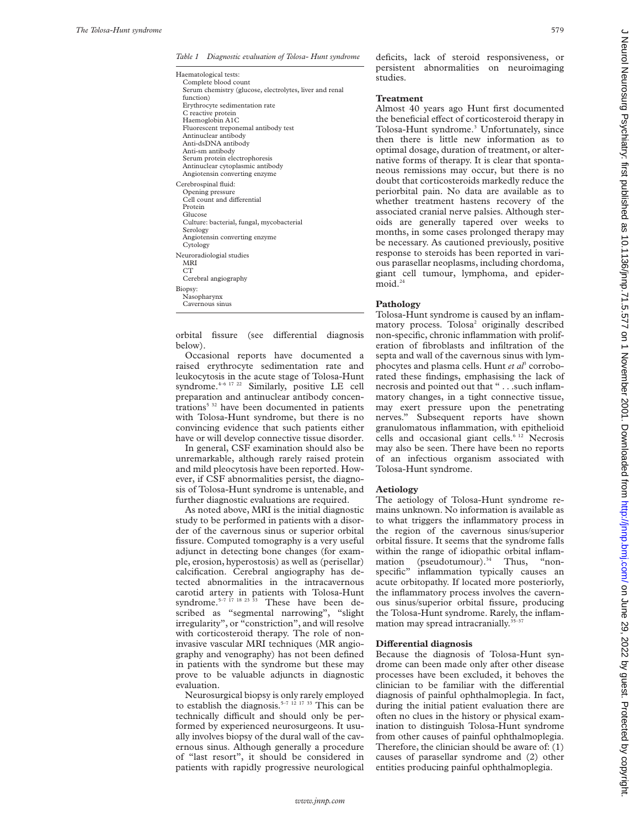#### *Table 1 Diagnostic evaluation of Tolosa- Hunt syndrome*

| Haematological tests:<br>Complete blood count<br>Serum chemistry (glucose, electrolytes, liver and renal<br>function)<br>Erythrocyte sedimentation rate<br>C reactive protein<br>Haemoglobin A1C<br>Fluorescent treponemal antibody test<br>Antinuclear antibody<br>Anti-dsDNA antibody<br>Anti-sm antibody<br>Serum protein electrophoresis<br>Antinuclear cytoplasmic antibody<br>Angiotensin converting enzyme |
|-------------------------------------------------------------------------------------------------------------------------------------------------------------------------------------------------------------------------------------------------------------------------------------------------------------------------------------------------------------------------------------------------------------------|
| Cerebrospinal fluid:<br>Opening pressure<br>Cell count and differential<br>Protein<br>Glucose<br>Culture: bacterial, fungal, mycobacterial<br>Serology<br>Angiotensin converting enzyme<br>Cytology                                                                                                                                                                                                               |
| Neuroradiologial studies<br><b>MRI</b><br><b>CT</b><br>Cerebral angiography                                                                                                                                                                                                                                                                                                                                       |
| Biopsy:<br>Nasopharynx<br>Cavernous sinus                                                                                                                                                                                                                                                                                                                                                                         |

orbital fissure (see differential diagnosis below).

Occasional reports have documented a raised erythrocyte sedimentation rate and leukocytosis in the acute stage of Tolosa-Hunt syndrome. $4-6$  17 <sup>22</sup> Similarly, positive LE cell preparation and antinuclear antibody concentrations<sup>5 32</sup> have been documented in patients with Tolosa-Hunt syndrome, but there is no convincing evidence that such patients either have or will develop connective tissue disorder.

In general, CSF examination should also be unremarkable, although rarely raised protein and mild pleocytosis have been reported. However, if CSF abnormalities persist, the diagnosis of Tolosa-Hunt syndrome is untenable, and further diagnostic evaluations are required.

As noted above, MRI is the initial diagnostic study to be performed in patients with a disorder of the cavernous sinus or superior orbital fissure. Computed tomography is a very useful adjunct in detecting bone changes (for example, erosion, hyperostosis) as well as (perisellar) calcification. Cerebral angiography has detected abnormalities in the intracavernous carotid artery in patients with Tolosa-Hunt syndrome.<sup>5-7 17</sup> 18 <sup>23</sup>  $\overline{3}$ <sup>3</sup> These have been described as "segmental narrowing", "slight irregularity", or "constriction", and will resolve with corticosteroid therapy. The role of noninvasive vascular MRI techniques (MR angiography and venography) has not been defined in patients with the syndrome but these may prove to be valuable adjuncts in diagnostic evaluation.

Neurosurgical biopsy is only rarely employed to establish the diagnosis.<sup>5-7 12</sup> <sup>17</sup> <sup>33</sup> This can be technically difficult and should only be performed by experienced neurosurgeons. It usually involves biopsy of the dural wall of the cavernous sinus. Although generally a procedure of "last resort", it should be considered in patients with rapidly progressive neurological deficits, lack of steroid responsiveness, or persistent abnormalities on neuroimaging studies.

#### **Treatment**

Almost 40 years ago Hunt first documented the beneficial effect of corticosteroid therapy in Tolosa-Hunt syndrome.<sup>3</sup> Unfortunately, since then there is little new information as to optimal dosage, duration of treatment, or alternative forms of therapy. It is clear that spontaneous remissions may occur, but there is no doubt that corticosteroids markedly reduce the periorbital pain. No data are available as to whether treatment hastens recovery of the associated cranial nerve palsies. Although steroids are generally tapered over weeks to months, in some cases prolonged therapy may be necessary. As cautioned previously, positive response to steroids has been reported in various parasellar neoplasms, including chordoma, giant cell tumour, lymphoma, and epidermoid.<sup>24</sup>

#### **Pathology**

Tolosa-Hunt syndrome is caused by an inflammatory process. Tolosa<sup>2</sup> originally described non-specific, chronic inflammation with proliferation of fibroblasts and infiltration of the septa and wall of the cavernous sinus with lymphocytes and plasma cells. Hunt *et al*<sup>3</sup> corroborated these findings, emphasising the lack of necrosis and pointed out that " . . .such inflammatory changes, in a tight connective tissue, may exert pressure upon the penetrating nerves." Subsequent reports have shown granulomatous inflammation, with epithelioid cells and occasional giant cells.6 12 Necrosis may also be seen. There have been no reports of an infectious organism associated with Tolosa-Hunt syndrome.

#### **Aetiology**

The aetiology of Tolosa-Hunt syndrome remains unknown. No information is available as to what triggers the inflammatory process in the region of the cavernous sinus/superior orbital fissure. It seems that the syndrome falls within the range of idiopathic orbital inflammation (pseudotumour).<sup>34</sup> Thus, "nonspecific" inflammation typically causes an acute orbitopathy. If located more posteriorly, the inflammatory process involves the cavernous sinus/superior orbital fissure, producing the Tolosa-Hunt syndrome. Rarely, the inflammation may spread intracranially.<sup>35</sup>

#### **DiVerential diagnosis**

Because the diagnosis of Tolosa-Hunt syndrome can been made only after other disease processes have been excluded, it behoves the clinician to be familiar with the differential diagnosis of painful ophthalmoplegia. In fact, during the initial patient evaluation there are often no clues in the history or physical examination to distinguish Tolosa-Hunt syndrome from other causes of painful ophthalmoplegia. Therefore, the clinician should be aware of: (1) causes of parasellar syndrome and (2) other entities producing painful ophthalmoplegia.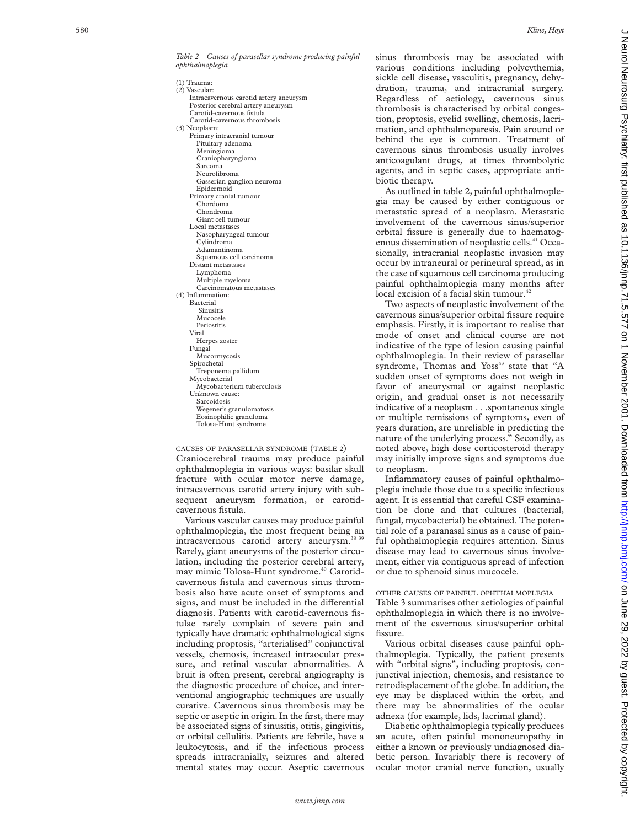*Table 2 Causes of parasellar syndrome producing painful ophthalmoplegia*

| $(1)$ Trauma:                          |
|----------------------------------------|
| (2) Vascular:                          |
| Intracavernous carotid artery aneurysm |
| Posterior cerebral artery aneurysm     |
| Carotid-cavernous fistula              |
| Carotid-cavernous thrombosis           |
| (3) Neoplasm:                          |
| Primary intracranial tumour            |
| Pituitary adenoma                      |
| Meningioma                             |
| Craniopharyngioma                      |
| Sarcoma                                |
| Neurofibroma                           |
| Gasserian ganglion neuroma             |
|                                        |
| Epidermoid                             |
| Primary cranial tumour                 |
| Chordoma                               |
| Chondroma                              |
| Giant cell tumour                      |
| Local metastases                       |
| Nasopharyngeal tumour                  |
| Cylindroma                             |
| Adamantinoma                           |
| Squamous cell carcinoma                |
| Distant metastases                     |
| Lymphoma                               |
| Multiple myeloma                       |
| Carcinomatous metastases               |
| (4) Inflammation:                      |
| Bacterial                              |
| Sinusitis                              |
| Mucocele                               |
| Periostitis                            |
| Viral                                  |
| Herpes zoster                          |
| Fungal                                 |
| Mucormycosis                           |
| Spirochetal                            |
| Treponema pallidum                     |
| Mycobacterial                          |
| Mycobacterium tuberculosis             |
| Unknown cause:                         |
|                                        |
| Sarcoidosis                            |
| Wegener's granulomatosis               |
| Eosinophilic granuloma                 |
| Tolosa-Hunt syndrome                   |

CAUSES OF PARASELLAR SYNDROME (TABLE 2 ) Craniocerebral trauma may produce painful ophthalmoplegia in various ways: basilar skull fracture with ocular motor nerve damage, intracavernous carotid artery injury with subsequent aneurysm formation, or carotidcavernous fistula.

Various vascular causes may produce painful ophthalmoplegia, the most frequent being an intracavernous carotid artery aneurysm.<sup>38</sup> Rarely, giant aneurysms of the posterior circulation, including the posterior cerebral artery, may mimic Tolosa-Hunt syndrome.40 Carotidcavernous fistula and cavernous sinus thrombosis also have acute onset of symptoms and signs, and must be included in the differential diagnosis. Patients with carotid-cavernous fistulae rarely complain of severe pain and typically have dramatic ophthalmological signs including proptosis, "arterialised" conjunctival vessels, chemosis, increased intraocular pressure, and retinal vascular abnormalities. A bruit is often present, cerebral angiography is the diagnostic procedure of choice, and interventional angiographic techniques are usually curative. Cavernous sinus thrombosis may be septic or aseptic in origin. In the first, there may be associated signs of sinusitis, otitis, gingivitis, or orbital cellulitis. Patients are febrile, have a leukocytosis, and if the infectious process spreads intracranially, seizures and altered mental states may occur. Aseptic cavernous

sinus thrombosis may be associated with various conditions including polycythemia, sickle cell disease, vasculitis, pregnancy, dehydration, trauma, and intracranial surgery. Regardless of aetiology, cavernous sinus thrombosis is characterised by orbital congestion, proptosis, eyelid swelling, chemosis, lacrimation, and ophthalmoparesis. Pain around or behind the eye is common. Treatment of cavernous sinus thrombosis usually involves anticoagulant drugs, at times thrombolytic agents, and in septic cases, appropriate antibiotic therapy.

As outlined in table 2, painful ophthalmoplegia may be caused by either contiguous or metastatic spread of a neoplasm. Metastatic involvement of the cavernous sinus/superior orbital fissure is generally due to haematogenous dissemination of neoplastic cells.<sup>41</sup> Occasionally, intracranial neoplastic invasion may occur by intraneural or perineural spread, as in the case of squamous cell carcinoma producing painful ophthalmoplegia many months after local excision of a facial skin tumour.<sup>42</sup>

Two aspects of neoplastic involvement of the cavernous sinus/superior orbital fissure require emphasis. Firstly, it is important to realise that mode of onset and clinical course are not indicative of the type of lesion causing painful ophthalmoplegia. In their review of parasellar syndrome, Thomas and Yoss<sup>43</sup> state that "A sudden onset of symptoms does not weigh in favor of aneurysmal or against neoplastic origin, and gradual onset is not necessarily indicative of a neoplasm . . .spontaneous single or multiple remissions of symptoms, even of years duration, are unreliable in predicting the nature of the underlying process." Secondly, as noted above, high dose corticosteroid therapy may initially improve signs and symptoms due to neoplasm.

Inflammatory causes of painful ophthalmoplegia include those due to a specific infectious agent. It is essential that careful CSF examination be done and that cultures (bacterial, fungal, mycobacterial) be obtained. The potential role of a paranasal sinus as a cause of painful ophthalmoplegia requires attention. Sinus disease may lead to cavernous sinus involvement, either via contiguous spread of infection or due to sphenoid sinus mucocele.

#### OTHER CAUSES OF PAINFUL OPHTHALMOPLEGIA

Table 3 summarises other aetiologies of painful ophthalmoplegia in which there is no involvement of the cavernous sinus/superior orbital fissure.

Various orbital diseases cause painful ophthalmoplegia. Typically, the patient presents with "orbital signs", including proptosis, conjunctival injection, chemosis, and resistance to retrodisplacement of the globe. In addition, the eye may be displaced within the orbit, and there may be abnormalities of the ocular adnexa (for example, lids, lacrimal gland).

Diabetic ophthalmoplegia typically produces an acute, often painful mononeuropathy in either a known or previously undiagnosed diabetic person. Invariably there is recovery of ocular motor cranial nerve function, usually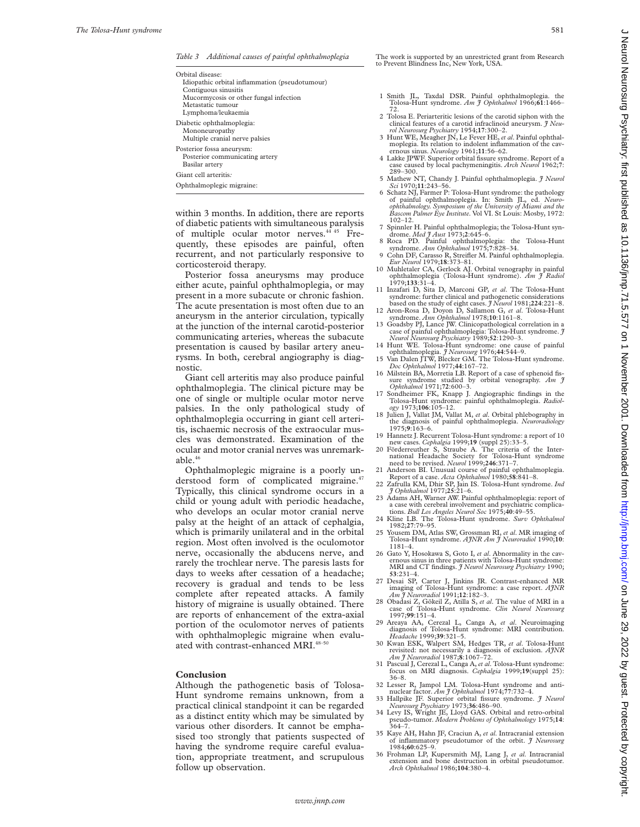#### *Table 3 Additional causes of painful ophthalmoplegia*

| . . |  |
|-----|--|
|     |  |

| Orbital disease:                                                                             |                 |  |
|----------------------------------------------------------------------------------------------|-----------------|--|
| Idiopathic orbital inflammation (pseudotumour)                                               |                 |  |
| Contiguous sinusitis                                                                         |                 |  |
| Mucormycosis or other fungal infection                                                       | 1 Smith         |  |
| Metastatic tumour                                                                            | Tolo<br>72.     |  |
| Lymphoma/leukaemia                                                                           | 2 Tolos         |  |
| Diabetic ophthalmoplegia:                                                                    | clini           |  |
| Mononeuropathy                                                                               | rol N           |  |
| Multiple cranial nerve palsies                                                               | 3 Hunt          |  |
| Posterior fossa aneurysm:                                                                    |                 |  |
| Posterior communicating artery                                                               | erno            |  |
| Basilar artery                                                                               | 4 Lakk<br>case  |  |
|                                                                                              | 289-            |  |
| Giant cell arteritis.                                                                        | 5 Math          |  |
| Ophthalmoplegic migraine:                                                                    |                 |  |
|                                                                                              | 6 Schat         |  |
|                                                                                              | of p            |  |
|                                                                                              | ophti           |  |
| within 3 months. In addition, there are reports                                              | Basc<br>$102 -$ |  |
| of diabetic patients with simultaneous paralysis                                             |                 |  |
| of multiple ocular motor nerves. <sup>44 45</sup><br>Fre-                                    | 7 Spinr<br>dron |  |
| $\cdot$ $\cdot$ $\cdot$ $\cdot$ $\cdot$ $\cdot$ $\cdot$ $\cdot$<br>그래도 그 사람들은 아이들은 아이들이 없었다. | 8 Roca          |  |

of diab of m quently, these episodes are painful, often recurrent, and not particularly responsive to corticosteroid therapy.

Posterior fossa aneurysms may produce either acute, painful ophthalmoplegia, or may present in a more subacute or chronic fashion. The acute presentation is most often due to an aneurysm in the anterior circulation, typically at the junction of the internal carotid-posterior communicating arteries, whereas the subacute presentation is caused by basilar artery aneurysms. In both, cerebral angiography is diagnostic.

Giant cell arteritis may also produce painful ophthalmoplegia. The clinical picture may be one of single or multiple ocular motor nerve palsies. In the only pathological study of ophthalmoplegia occurring in giant cell arteritis, ischaemic necrosis of the extraocular muscles was demonstrated. Examination of the ocular and motor cranial nerves was unremarkable.<sup>46</sup>

Ophthalmoplegic migraine is a poorly understood form of complicated migraine.<sup>47</sup> Typically, this clinical syndrome occurs in a child or young adult with periodic headache, who develops an ocular motor cranial nerve palsy at the height of an attack of cephalgia, which is primarily unilateral and in the orbital region. Most often involved is the oculomotor nerve, occasionally the abducens nerve, and rarely the trochlear nerve. The paresis lasts for days to weeks after cessation of a headache; recovery is gradual and tends to be less complete after repeated attacks. A family history of migraine is usually obtained. There are reports of enhancement of the extra-axial portion of the oculomotor nerves of patients with ophthalmoplegic migraine when evaluated with contrast-enhanced MRI.<sup>48</sup>

#### **Conclusion**

Although the pathogenetic basis of Tolosa-Hunt syndrome remains unknown, from a practical clinical standpoint it can be regarded as a distinct entity which may be simulated by various other disorders. It cannot be emphasised too strongly that patients suspected of having the syndrome require careful evaluation, appropriate treatment, and scrupulous follow up observation.

h JL, Taxdal DSR. Painful ophthalmoplegia. the Tolosa-Hunt syndrome. *Am J Ophthalmol* 1966;**61**:1466–

The work is supported by an unrestricted grant from Research to Prevent Blindness Inc, New York, USA.

- a E. Periarteritic lesions of the carotid siphon with the clinical features of a carotid infraclinoid aneurysm. *J Neu-rol Neurosurg Psychiatry* 1954;**17**:300–2.
- WE, Meagher JN, Le Fever HE, *et al.* Painful ophthalblegia. Its relation to indolent inflammation of the caverus sinus. *Neurology* 1961;11:56–62.<br>e IPWF. Superior orbital fissure syndrome. Report of a
- 4 Lakke JPWF. Superior orbital fissure syndrome. Report of a case caused by local pachymeningitis. *Arch Neurol* 1962;**7**: 289–300.
- 5 Mathew NT, Chandy J. Painful ophthalmoplegia. *J Neurol Sci* 1970;**11**:243–56.
- 6 Schatz NJ, Farmer P: Tolosa-Hunt syndrome: the pathology of painful ophthalmoplegia. In: Smith JL, ed. *Neuro-ophthalmology. Symposium of the University of Miami and the Bascom Palmer Eye Institute*. Vol VI. St Louis: Mosby, 1972:  $-12$
- 7 Spinnler H. Painful ophthalmoplegia; the Tolosa-Hunt syn-drome. *Med J Aust* 1973;**2**:645–6.
- 8 Roca PD. Painful ophthalmoplegia: the Tolosa-Hunt syndrome. *Ann Ophthalmol* 1975;**7**:828–34.
- 9 Cohn DF, Carasso R, Streifler M. Painful ophthalmoplegia. *Eur Neurol* 1979;**18**:373–81.
- 10 Muhletaler CA, Gerlock AJ. Orbital venography in painful ophthalmoplegia (Tolosa-Hunt syndrome). *Am J Radiol* 1979;**133**:31–4.
- 11 Inzafari D, Sita D, Marconi GP, *et al*. The Tolosa-Hunt syndrome: further clinical and pathogenetic considerations based on the study of eight cases. *J Neurol* 1981;**224**:221–8.
- 12 Aron-Rosa D, Doyon D, Sallamon G, *et al*. Tolosa-Hunt syndrome. *Ann Ophthalmol* 1978;**10**:1161–8.
- 13 Goadsby PJ, Lance JW. Clinicopathological correlation in a case of painful ophthalmoplegia: Tolosa-Hunt syndrome. *J*
- *Neurol Neurosurg Psychiatry* 1989;**52**:1290–3. 14 Hunt WE. Tolosa-Hunt syndrome: one cause of painful ophthalmoplegia. *J Neurosurg* 1976;**44**:544–9.
- 15 Van Dalen JTW, Blecker GM. The Tolosa-Hunt syndrome. *Doc Ophthalmol* 1977;**44**:167–72. 16 Milstein BA, Morretia LB. Report of a case of sphenoid fis-
- sure syndrome studied by orbital venography. *Am J Ophthalmol* 1971;**72**:600–3.
- Sondheimer FK, Knapp J. Angiographic findings in the Tolosa-Hunt syndrome: painful ophthalmoplegia. *Radiol- ogy* 1973;**106**:105–12.
- 18 Julien J, Vallat JM, Vallat M, *et al*. Orbital phlebography in the diagnosis of painful ophthalmoplegia. *Neuroradiology* 1975;**9**:163–6.
- 19 Hannetz J. Recurrent Tolosa-Hunt syndrome: a report of 10 new cases. *Cephalgia* 1999;**19** (suppl 25):33–5. 20 Förderreuther S, Straube A. The criteria of the Inter-
- national Headache Society for Tolosa-Hunt syndrome need to be revised. *Neurol* 1999;**246**:371–7.
- 21 Anderson BI. Unusual course of painful ophthalmoplegia. Report of a case. *Acta Ophthalmol* 1980;**58**:841–8.
- 22 Zafrulla KM, Dhir SP, Jain IS. Tolosa-Hunt syndrome. *Ind J Ophthalmol* 1977;**25**:21–6.
- 23 Adams AH, Warner AW. Painful ophthalmoplegia: report of a case with cerebral involvement and psychiatric complica-tions. *Bull Los Angeles Neurol Soc* 1975;**40**:49–55.
- 24 Kline LB. The Tolosa-Hunt syndrome. *Surv Ophthalmol* 1982;**27**:79–95.
- 25 Yousem DM, Atlas SW, Grossman RI, *et al*. MR imaging of Tolosa-Hunt syndrome. *AJNR Am J Neuroradiol* 1990;**10**: 1181–4.
- 26 Gato Y, Hosokawa S, Goto I, *et al*. Abnormality in the cav-ernous sinus in three patients with Tolosa-Hunt syndrome: MRI and CT findings. *J Neurol Neurosurg Psychiatry* 1990; **53**:231–4.
- 27 Desai SP, Carter J, Jinkins JR. Contrast-enhanced MR imaging of Tolosa-Hunt syndrome: a case report. *AJNR Am J Neuroradiol* 1991;**12**:182–3.
- 28 Obadasi Z, Gökeil Z, Atilla S, *et al*. The value of MRI in a case of Tolosa-Hunt syndrome. *Clin Neurol Neurosurg* 1997;**99**:151–4.
- 29 Areaya AA, Cerezal L, Canga A, *et al*. Neuroimaging diagnosis of Tolosa-Hunt syndrome: MRI contribution. *Headache* 1999;**39**:321–5.
- 30 Kwan ESK, Walpert SM, Hedges TR, *et al*. Tolosa-Hunt revisited: not necessarily a diagnosis of exclusion. *AJNR Am J Neuroradiol* 1987;**8**:1067–72.
- Pascual J, Cerezal L, Canga A, *et al*. Tolosa-Hunt syndrome focus on MRI diagnosis. *Cephalgia* 1999;**19**(suppl 25): 36–8.
- 32 Lesser R, Jampol LM. Tolosa-Hunt syndrome and anti-nuclear factor. *Am J Ophthalmol* 1974;**77**:732–4.
- 33 Hallpike JF. Superior orbital fissure syndrome. *J Neurol Neurosurg Psychiatry* 1973;**36**:486–90.
- 34 Levy IS, Wright JE, Lloyd GAS. Orbital and retro-orbital pseudo-tumor. *Modern Problems of Ophthalmology* 1975;**14**:  $364 - 7$ .
- 35 Kaye AH, Hahn JF, Craciun A, *et al*. Intracranial extension of inflammatory pseudotumor of the orbit. *J Neurosurg* 1984;**60**:625–9.
- 36 Frohman LP, Kupersmith MJ, Lang J, *et al*. Intracranial extension and bone destruction in orbital pseudotumor. *Arch Ophthalmol* 1986;**104**:380–4.